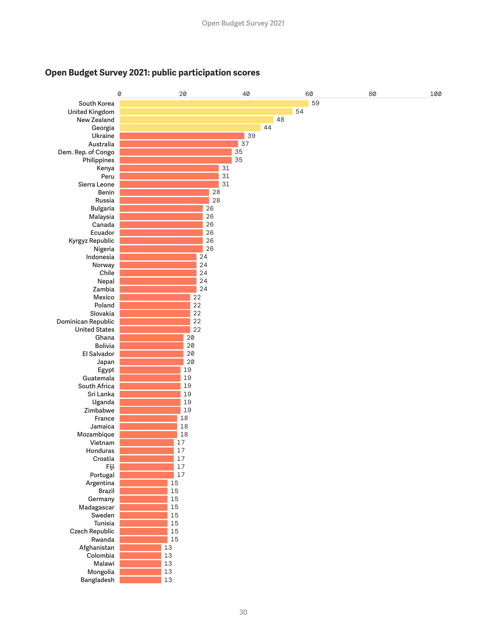

## **Open Budget Survey 2021: public participation scores**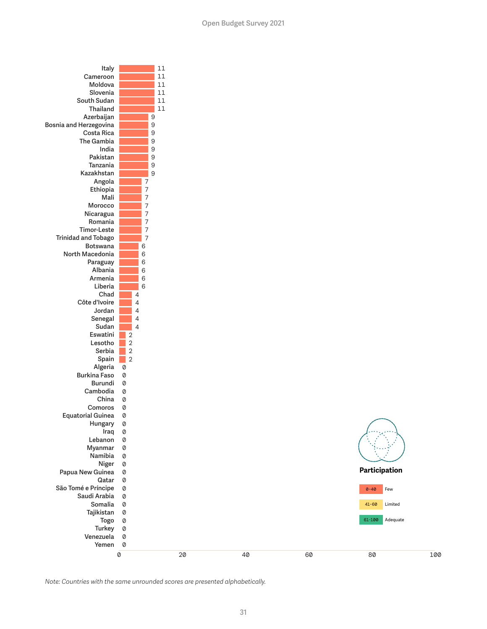

*Note: Countries with the same unrounded scores are presented alphabetically.*

100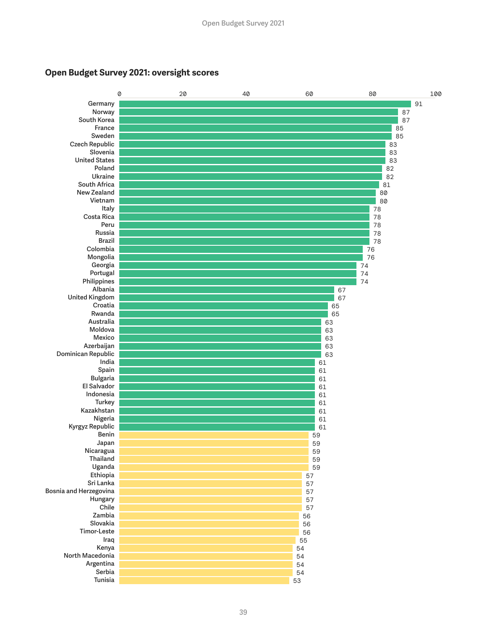

## **Open Budget Survey 2021: oversight scores**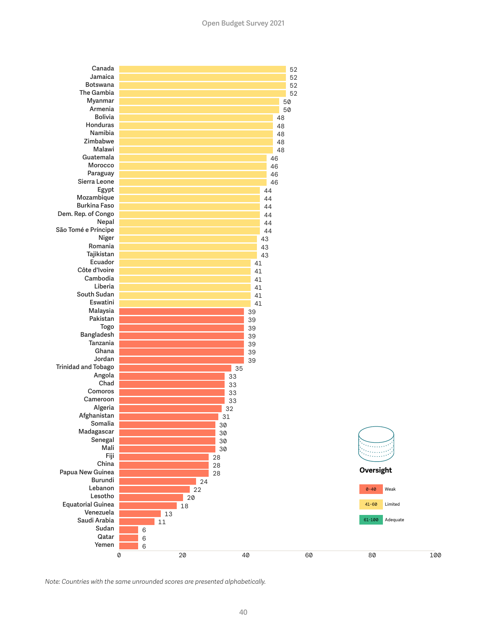

*Note: Countries with the same unrounded scores are presented alphabetically.*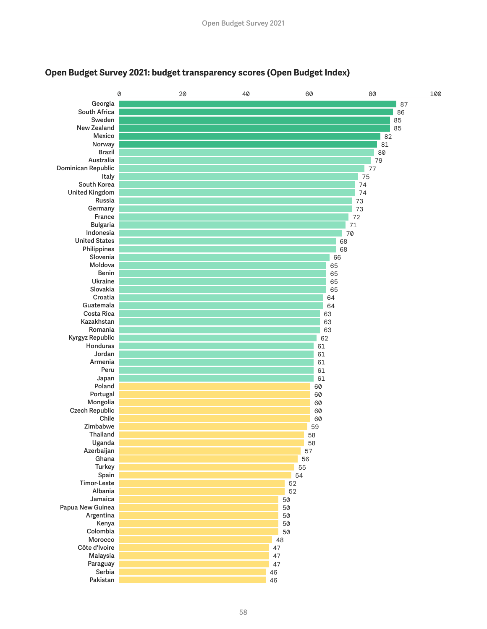

## **Open Budget Survey 2021: budget transparency scores (Open Budget Index)**